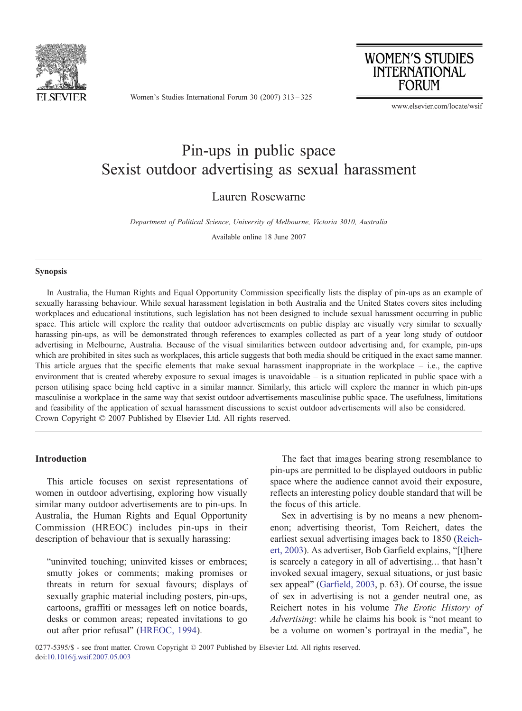

Women's Studies International Forum 30 (2007) 313–325



www.elsevier.com/locate/wsif

# Pin-ups in public space Sexist outdoor advertising as sexual harassment

# Lauren Rosewarne

Department of Political Science, University of Melbourne, Victoria 3010, Australia

Available online 18 June 2007

#### Synopsis

In Australia, the Human Rights and Equal Opportunity Commission specifically lists the display of pin-ups as an example of sexually harassing behaviour. While sexual harassment legislation in both Australia and the United States covers sites including workplaces and educational institutions, such legislation has not been designed to include sexual harassment occurring in public space. This article will explore the reality that outdoor advertisements on public display are visually very similar to sexually harassing pin-ups, as will be demonstrated through references to examples collected as part of a year long study of outdoor advertising in Melbourne, Australia. Because of the visual similarities between outdoor advertising and, for example, pin-ups which are prohibited in sites such as workplaces, this article suggests that both media should be critiqued in the exact same manner. This article argues that the specific elements that make sexual harassment inappropriate in the workplace – i.e., the captive environment that is created whereby exposure to sexual images is unavoidable – is a situation replicated in public space with a person utilising space being held captive in a similar manner. Similarly, this article will explore the manner in which pin-ups masculinise a workplace in the same way that sexist outdoor advertisements masculinise public space. The usefulness, limitations and feasibility of the application of sexual harassment discussions to sexist outdoor advertisements will also be considered. Crown Copyright © 2007 Published by Elsevier Ltd. All rights reserved.

### Introduction

This article focuses on sexist representations of women in outdoor advertising, exploring how visually similar many outdoor advertisements are to pin-ups. In Australia, the Human Rights and Equal Opportunity Commission (HREOC) includes pin-ups in their description of behaviour that is sexually harassing:

"uninvited touching; uninvited kisses or embraces; smutty jokes or comments; making promises or threats in return for sexual favours; displays of sexually graphic material including posters, pin-ups, cartoons, graffiti or messages left on notice boards, desks or common areas; repeated invitations to go out after prior refusal" ([HREOC, 1994](#page-11-0)).

The fact that images bearing strong resemblance to pin-ups are permitted to be displayed outdoors in public space where the audience cannot avoid their exposure, reflects an interesting policy double standard that will be the focus of this article.

Sex in advertising is by no means a new phenomenon; advertising theorist, Tom Reichert, dates the earliest sexual advertising images back to 1850 ([Reich](#page-11-0)[ert, 2003\)](#page-11-0). As advertiser, Bob Garfield explains, "[t]here is scarcely a category in all of advertising… that hasn't invoked sexual imagery, sexual situations, or just basic sex appeal" [\(Garfield, 2003](#page-10-0), p. 63). Of course, the issue of sex in advertising is not a gender neutral one, as Reichert notes in his volume The Erotic History of Advertising: while he claims his book is "not meant to be a volume on women's portrayal in the media", he

0277-5395/\$ - see front matter. Crown Copyright © 2007 Published by Elsevier Ltd. All rights reserved. doi[:10.1016/j.wsif.2007.05.003](http://dx.doi.org/10.1016/j.wsif.2007.05.003)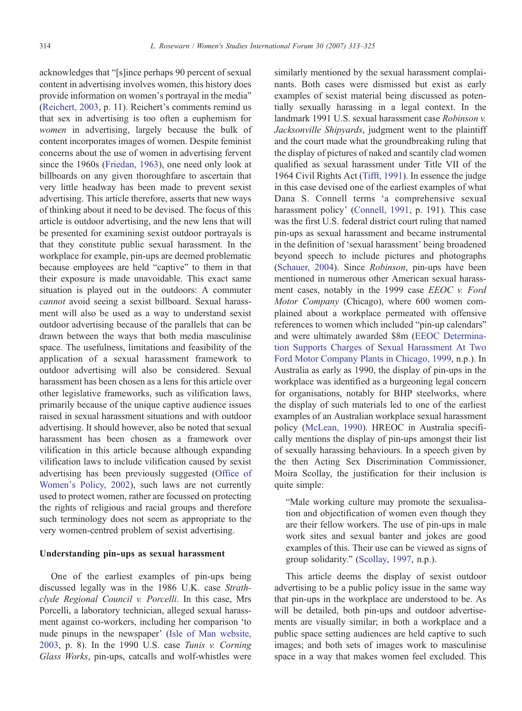acknowledges that "[s]ince perhaps 90 percent of sexual content in advertising involves women, this history does provide information on women's portrayal in the media" [\(Reichert, 2003,](#page-11-0) p. 11). Reichert's comments remind us that sex in advertising is too often a euphemism for women in advertising, largely because the bulk of content incorporates images of women. Despite feminist concerns about the use of women in advertising fervent since the 1960s ([Friedan, 1963\)](#page-10-0), one need only look at billboards on any given thoroughfare to ascertain that very little headway has been made to prevent sexist advertising. This article therefore, asserts that new ways of thinking about it need to be devised. The focus of this article is outdoor advertising, and the new lens that will be presented for examining sexist outdoor portrayals is that they constitute public sexual harassment. In the workplace for example, pin-ups are deemed problematic because employees are held "captive" to them in that their exposure is made unavoidable. This exact same situation is played out in the outdoors: A commuter cannot avoid seeing a sexist billboard. Sexual harassment will also be used as a way to understand sexist outdoor advertising because of the parallels that can be drawn between the ways that both media masculinise space. The usefulness, limitations and feasibility of the application of a sexual harassment framework to outdoor advertising will also be considered. Sexual harassment has been chosen as a lens for this article over other legislative frameworks, such as vilification laws, primarily because of the unique captive audience issues raised in sexual harassment situations and with outdoor advertising. It should however, also be noted that sexual harassment has been chosen as a framework over vilification in this article because although expanding vilification laws to include vilification caused by sexist advertising has been previously suggested [\(Office of](#page-11-0) [Women's Policy, 2002\)](#page-11-0), such laws are not currently used to protect women, rather are focussed on protecting the rights of religious and racial groups and therefore such terminology does not seem as appropriate to the very women-centred problem of sexist advertising.

### Understanding pin-ups as sexual harassment

One of the earliest examples of pin-ups being discussed legally was in the 1986 U.K. case Strathclyde Regional Council v. Porcelli. In this case, Mrs Porcelli, a laboratory technician, alleged sexual harassment against co-workers, including her comparison 'to nude pinups in the newspaper' ([Isle of Man website,](#page-11-0) [2003](#page-11-0), p. 8). In the 1990 U.S. case Tunis v. Corning Glass Works, pin-ups, catcalls and wolf-whistles were

similarly mentioned by the sexual harassment complainants. Both cases were dismissed but exist as early examples of sexist material being discussed as potentially sexually harassing in a legal context. In the landmark 1991 U.S. sexual harassment case Robinson v. Jacksonville Shipyards, judgment went to the plaintiff and the court made what the groundbreaking ruling that the display of pictures of naked and scantily clad women qualified as sexual harassment under Title VII of the 1964 Civil Rights Act [\(Tifft, 1991](#page-12-0)). In essence the judge in this case devised one of the earliest examples of what Dana S. Connell terms 'a comprehensive sexual harassment policy' [\(Connell, 1991](#page-10-0), p. 191). This case was the first U.S. federal district court ruling that named pin-ups as sexual harassment and became instrumental in the definition of 'sexual harassment' being broadened beyond speech to include pictures and photographs [\(Schauer, 2004](#page-11-0)). Since Robinson, pin-ups have been mentioned in numerous other American sexual harassment cases, notably in the 1999 case EEOC v. Ford Motor Company (Chicago), where 600 women complained about a workplace permeated with offensive references to women which included "pin-up calendars" and were ultimately awarded \$8m ([EEOC Determina](#page-10-0)[tion Supports Charges of Sexual Harassment At Two](#page-10-0) [Ford Motor Company Plants in Chicago, 1999,](#page-10-0) n.p.). In Australia as early as 1990, the display of pin-ups in the workplace was identified as a burgeoning legal concern for organisations, notably for BHP steelworks, where the display of such materials led to one of the earliest examples of an Australian workplace sexual harassment policy [\(McLean, 1990](#page-11-0)). HREOC in Australia specifically mentions the display of pin-ups amongst their list of sexually harassing behaviours. In a speech given by the then Acting Sex Discrimination Commissioner, Moira Scollay, the justification for their inclusion is quite simple:

"Male working culture may promote the sexualisation and objectification of women even though they are their fellow workers. The use of pin-ups in male work sites and sexual banter and jokes are good examples of this. Their use can be viewed as signs of group solidarity." [\(Scollay, 1997](#page-12-0), n.p.).

This article deems the display of sexist outdoor advertising to be a public policy issue in the same way that pin-ups in the workplace are understood to be. As will be detailed, both pin-ups and outdoor advertisements are visually similar; in both a workplace and a public space setting audiences are held captive to such images; and both sets of images work to masculinise space in a way that makes women feel excluded. This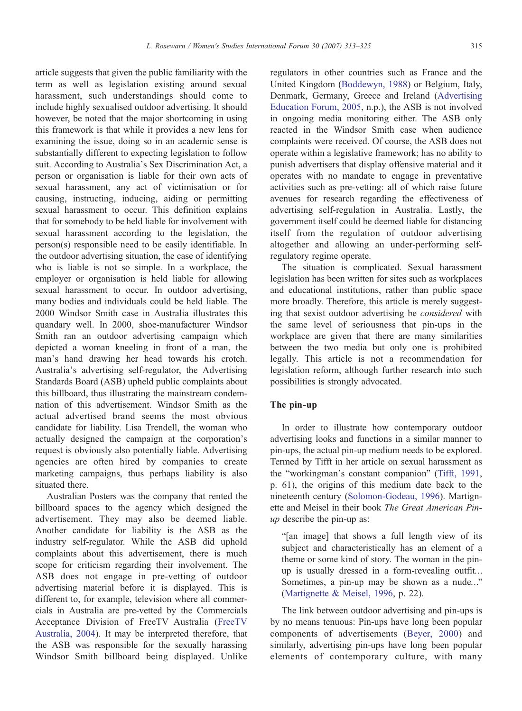article suggests that given the public familiarity with the term as well as legislation existing around sexual harassment, such understandings should come to include highly sexualised outdoor advertising. It should however, be noted that the major shortcoming in using this framework is that while it provides a new lens for examining the issue, doing so in an academic sense is substantially different to expecting legislation to follow suit. According to Australia's Sex Discrimination Act, a person or organisation is liable for their own acts of sexual harassment, any act of victimisation or for causing, instructing, inducing, aiding or permitting sexual harassment to occur. This definition explains that for somebody to be held liable for involvement with sexual harassment according to the legislation, the person(s) responsible need to be easily identifiable. In the outdoor advertising situation, the case of identifying who is liable is not so simple. In a workplace, the employer or organisation is held liable for allowing sexual harassment to occur. In outdoor advertising, many bodies and individuals could be held liable. The 2000 Windsor Smith case in Australia illustrates this quandary well. In 2000, shoe-manufacturer Windsor Smith ran an outdoor advertising campaign which depicted a woman kneeling in front of a man, the man's hand drawing her head towards his crotch. Australia's advertising self-regulator, the Advertising Standards Board (ASB) upheld public complaints about this billboard, thus illustrating the mainstream condemnation of this advertisement. Windsor Smith as the actual advertised brand seems the most obvious candidate for liability. Lisa Trendell, the woman who actually designed the campaign at the corporation's request is obviously also potentially liable. Advertising agencies are often hired by companies to create marketing campaigns, thus perhaps liability is also situated there.

Australian Posters was the company that rented the billboard spaces to the agency which designed the advertisement. They may also be deemed liable. Another candidate for liability is the ASB as the industry self-regulator. While the ASB did uphold complaints about this advertisement, there is much scope for criticism regarding their involvement. The ASB does not engage in pre-vetting of outdoor advertising material before it is displayed. This is different to, for example, television where all commercials in Australia are pre-vetted by the Commercials Acceptance Division of FreeTV Australia [\(FreeTV](#page-10-0) [Australia, 2004\)](#page-10-0). It may be interpreted therefore, that the ASB was responsible for the sexually harassing Windsor Smith billboard being displayed. Unlike

regulators in other countries such as France and the United Kingdom [\(Boddewyn, 1988](#page-10-0)) or Belgium, Italy, Denmark, Germany, Greece and Ireland [\(Advertising](#page-9-0) [Education Forum, 2005,](#page-9-0) n.p.), the ASB is not involved in ongoing media monitoring either. The ASB only reacted in the Windsor Smith case when audience complaints were received. Of course, the ASB does not operate within a legislative framework; has no ability to punish advertisers that display offensive material and it operates with no mandate to engage in preventative activities such as pre-vetting: all of which raise future avenues for research regarding the effectiveness of advertising self-regulation in Australia. Lastly, the government itself could be deemed liable for distancing itself from the regulation of outdoor advertising altogether and allowing an under-performing selfregulatory regime operate.

The situation is complicated. Sexual harassment legislation has been written for sites such as workplaces and educational institutions, rather than public space more broadly. Therefore, this article is merely suggesting that sexist outdoor advertising be considered with the same level of seriousness that pin-ups in the workplace are given that there are many similarities between the two media but only one is prohibited legally. This article is not a recommendation for legislation reform, although further research into such possibilities is strongly advocated.

#### The pin-up

In order to illustrate how contemporary outdoor advertising looks and functions in a similar manner to pin-ups, the actual pin-up medium needs to be explored. Termed by Tifft in her article on sexual harassment as the "workingman's constant companion" [\(Tifft, 1991,](#page-12-0) p. 61), the origins of this medium date back to the nineteenth century ([Solomon-Godeau, 1996\)](#page-12-0). Martignette and Meisel in their book The Great American Pinup describe the pin-up as:

"[an image] that shows a full length view of its subject and characteristically has an element of a theme or some kind of story. The woman in the pinup is usually dressed in a form-revealing outfit… Sometimes, a pin-up may be shown as a nude…" [\(Martignette & Meisel, 1996](#page-11-0), p. 22).

The link between outdoor advertising and pin-ups is by no means tenuous: Pin-ups have long been popular components of advertisements ([Beyer, 2000\)](#page-10-0) and similarly, advertising pin-ups have long been popular elements of contemporary culture, with many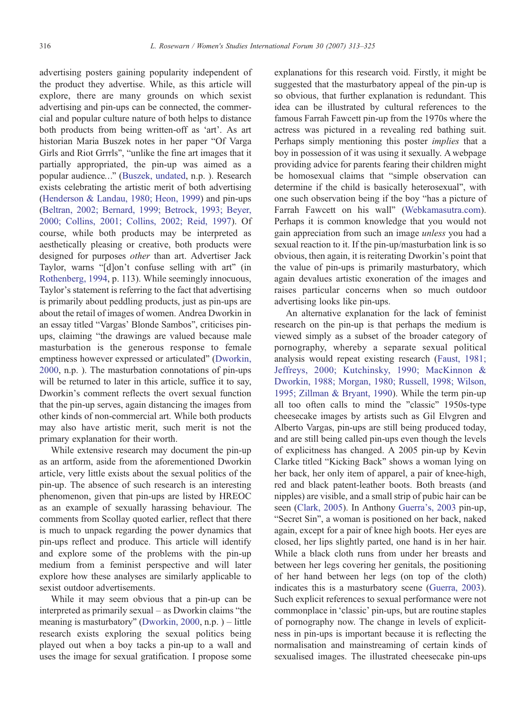advertising posters gaining popularity independent of the product they advertise. While, as this article will explore, there are many grounds on which sexist advertising and pin-ups can be connected, the commercial and popular culture nature of both helps to distance both products from being written-off as 'art'. As art historian Maria Buszek notes in her paper "Of Varga Girls and Riot Grrrls", "unlike the fine art images that it partially appropriated, the pin-up was aimed as a popular audience…" ([Buszek, undated,](#page-10-0) n.p. ). Research exists celebrating the artistic merit of both advertising [\(Henderson & Landau, 1980; Heon, 1999\)](#page-11-0) and pin-ups [\(Beltran, 2002; Bernard, 1999; Betrock, 1993; Beyer,](#page-10-0) [2000; Collins, 2001; Collins, 2002; Reid, 1997](#page-10-0)). Of course, while both products may be interpreted as aesthetically pleasing or creative, both products were designed for purposes other than art. Advertiser Jack Taylor, warns "[d]on't confuse selling with art" (in [Rothenberg, 1994](#page-11-0), p. 113). While seemingly innocuous, Taylor's statement is referring to the fact that advertising is primarily about peddling products, just as pin-ups are about the retail of images of women. Andrea Dworkin in an essay titled "Vargas' Blonde Sambos", criticises pinups, claiming "the drawings are valued because male masturbation is the generous response to female emptiness however expressed or articulated" ([Dworkin,](#page-10-0) [2000](#page-10-0), n.p. ). The masturbation connotations of pin-ups will be returned to later in this article, suffice it to say, Dworkin's comment reflects the overt sexual function that the pin-up serves, again distancing the images from other kinds of non-commercial art. While both products may also have artistic merit, such merit is not the primary explanation for their worth.

While extensive research may document the pin-up as an artform, aside from the aforementioned Dworkin article, very little exists about the sexual politics of the pin-up. The absence of such research is an interesting phenomenon, given that pin-ups are listed by HREOC as an example of sexually harassing behaviour. The comments from Scollay quoted earlier, reflect that there is much to unpack regarding the power dynamics that pin-ups reflect and produce. This article will identify and explore some of the problems with the pin-up medium from a feminist perspective and will later explore how these analyses are similarly applicable to sexist outdoor advertisements.

While it may seem obvious that a pin-up can be interpreted as primarily sexual – as Dworkin claims "the meaning is masturbatory" [\(Dworkin, 2000](#page-10-0), n.p. ) – little research exists exploring the sexual politics being played out when a boy tacks a pin-up to a wall and uses the image for sexual gratification. I propose some

explanations for this research void. Firstly, it might be suggested that the masturbatory appeal of the pin-up is so obvious, that further explanation is redundant. This idea can be illustrated by cultural references to the famous Farrah Fawcett pin-up from the 1970s where the actress was pictured in a revealing red bathing suit. Perhaps simply mentioning this poster *implies* that a boy in possession of it was using it sexually. A webpage providing advice for parents fearing their children might be homosexual claims that "simple observation can determine if the child is basically heterosexual", with one such observation being if the boy "has a picture of Farrah Fawcett on his wall" [\(Webkamasutra.com\)](#page-12-0). Perhaps it is common knowledge that you would not gain appreciation from such an image unless you had a sexual reaction to it. If the pin-up/masturbation link is so obvious, then again, it is reiterating Dworkin's point that the value of pin-ups is primarily masturbatory, which again devalues artistic exoneration of the images and raises particular concerns when so much outdoor advertising looks like pin-ups.

An alternative explanation for the lack of feminist research on the pin-up is that perhaps the medium is viewed simply as a subset of the broader category of pornography, whereby a separate sexual political analysis would repeat existing research [\(Faust, 1981;](#page-10-0) [Jeffreys, 2000; Kutchinsky, 1990; MacKinnon &](#page-10-0) [Dworkin, 1988; Morgan, 1980; Russell, 1998; Wilson,](#page-10-0) [1995; Zillman & Bryant, 1990](#page-10-0)). While the term pin-up all too often calls to mind the "classic" 1950s-type cheesecake images by artists such as Gil Elvgren and Alberto Vargas, pin-ups are still being produced today, and are still being called pin-ups even though the levels of explicitness has changed. A 2005 pin-up by Kevin Clarke titled "Kicking Back" shows a woman lying on her back, her only item of apparel, a pair of knee-high, red and black patent-leather boots. Both breasts (and nipples) are visible, and a small strip of pubic hair can be seen [\(Clark, 2005\)](#page-10-0). In Anthony [Guerra's, 2003](#page-10-0) pin-up, "Secret Sin", a woman is positioned on her back, naked again, except for a pair of knee high boots. Her eyes are closed, her lips slightly parted, one hand is in her hair. While a black cloth runs from under her breasts and between her legs covering her genitals, the positioning of her hand between her legs (on top of the cloth) indicates this is a masturbatory scene ([Guerra, 2003\)](#page-10-0). Such explicit references to sexual performance were not commonplace in 'classic' pin-ups, but are routine staples of pornography now. The change in levels of explicitness in pin-ups is important because it is reflecting the normalisation and mainstreaming of certain kinds of sexualised images. The illustrated cheesecake pin-ups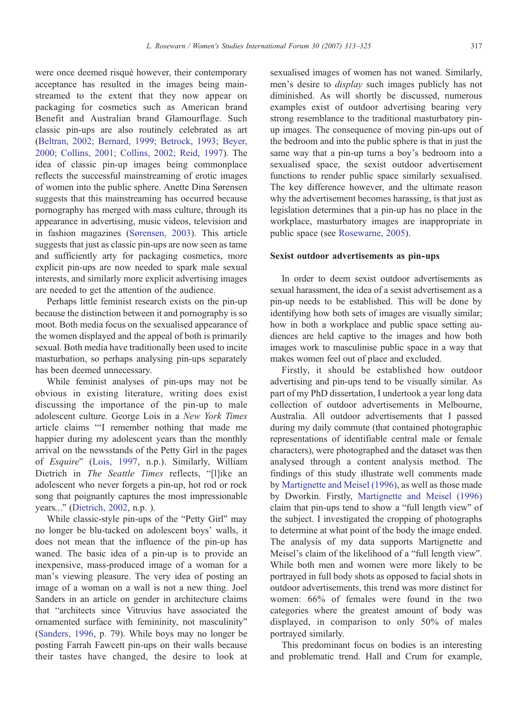were once deemed risqué however, their contemporary acceptance has resulted in the images being mainstreamed to the extent that they now appear on packaging for cosmetics such as American brand Benefit and Australian brand Glamourflage. Such classic pin-ups are also routinely celebrated as art [\(Beltran, 2002; Bernard, 1999; Betrock, 1993; Beyer,](#page-10-0) [2000; Collins, 2001; Collins, 2002; Reid, 1997\)](#page-10-0). The idea of classic pin-up images being commonplace reflects the successful mainstreaming of erotic images of women into the public sphere. Anette Dina Sørensen suggests that this mainstreaming has occurred because pornography has merged with mass culture, through its appearance in advertising, music videos, television and in fashion magazines [\(Sørensen, 2003](#page-12-0)). This article suggests that just as classic pin-ups are now seen as tame and sufficiently arty for packaging cosmetics, more explicit pin-ups are now needed to spark male sexual interests, and similarly more explicit advertising images are needed to get the attention of the audience.

Perhaps little feminist research exists on the pin-up because the distinction between it and pornography is so moot. Both media focus on the sexualised appearance of the women displayed and the appeal of both is primarily sexual. Both media have traditionally been used to incite masturbation, so perhaps analysing pin-ups separately has been deemed unnecessary.

While feminist analyses of pin-ups may not be obvious in existing literature, writing does exist discussing the importance of the pin-up to male adolescent culture. George Lois in a New York Times article claims "'I remember nothing that made me happier during my adolescent years than the monthly arrival on the newsstands of the Petty Girl in the pages of Esquire" [\(Lois, 1997,](#page-11-0) n.p.). Similarly, William Dietrich in The Seattle Times reflects, "[l]ike an adolescent who never forgets a pin-up, hot rod or rock song that poignantly captures the most impressionable years…" [\(Dietrich, 2002](#page-10-0), n.p. ).

While classic-style pin-ups of the "Petty Girl" may no longer be blu-tacked on adolescent boys' walls, it does not mean that the influence of the pin-up has waned. The basic idea of a pin-up is to provide an inexpensive, mass-produced image of a woman for a man's viewing pleasure. The very idea of posting an image of a woman on a wall is not a new thing. Joel Sanders in an article on gender in architecture claims that "architects since Vitruvius have associated the ornamented surface with femininity, not masculinity" [\(Sanders, 1996,](#page-11-0) p. 79). While boys may no longer be posting Farrah Fawcett pin-ups on their walls because their tastes have changed, the desire to look at sexualised images of women has not waned. Similarly, men's desire to display such images publicly has not diminished. As will shortly be discussed, numerous examples exist of outdoor advertising bearing very strong resemblance to the traditional masturbatory pinup images. The consequence of moving pin-ups out of the bedroom and into the public sphere is that in just the same way that a pin-up turns a boy's bedroom into a sexualised space, the sexist outdoor advertisement functions to render public space similarly sexualised. The key difference however, and the ultimate reason why the advertisement becomes harassing, is that just as legislation determines that a pin-up has no place in the workplace, masturbatory images are inappropriate in public space (see [Rosewarne, 2005\)](#page-11-0).

#### Sexist outdoor advertisements as pin-ups

In order to deem sexist outdoor advertisements as sexual harassment, the idea of a sexist advertisement as a pin-up needs to be established. This will be done by identifying how both sets of images are visually similar; how in both a workplace and public space setting audiences are held captive to the images and how both images work to masculinise public space in a way that makes women feel out of place and excluded.

Firstly, it should be established how outdoor advertising and pin-ups tend to be visually similar. As part of my PhD dissertation, I undertook a year long data collection of outdoor advertisements in Melbourne, Australia. All outdoor advertisements that I passed during my daily commute (that contained photographic representations of identifiable central male or female characters), were photographed and the dataset was then analysed through a content analysis method. The findings of this study illustrate well comments made by [Martignette and Meisel \(1996\)](#page-11-0), as well as those made by Dworkin. Firstly, [Martignette and Meisel \(1996\)](#page-11-0) claim that pin-ups tend to show a "full length view" of the subject. I investigated the cropping of photographs to determine at what point of the body the image ended. The analysis of my data supports Martignette and Meisel's claim of the likelihood of a "full length view". While both men and women were more likely to be portrayed in full body shots as opposed to facial shots in outdoor advertisements, this trend was more distinct for women: 66% of females were found in the two categories where the greatest amount of body was displayed, in comparison to only 50% of males portrayed similarly.

This predominant focus on bodies is an interesting and problematic trend. Hall and Crum for example,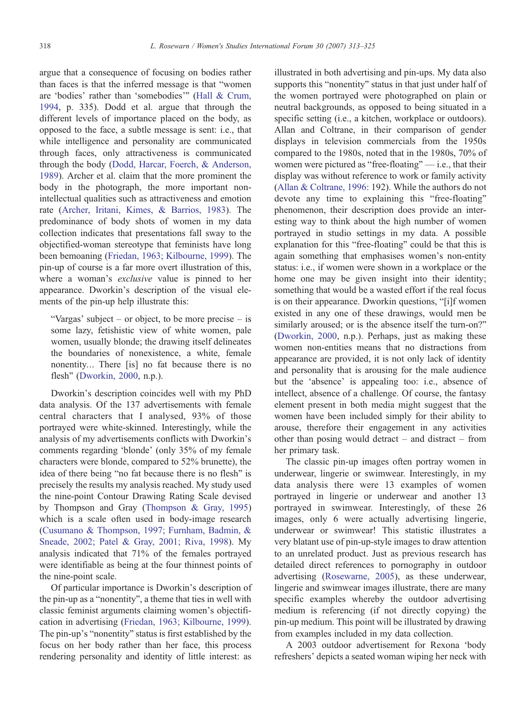argue that a consequence of focusing on bodies rather than faces is that the inferred message is that "women are 'bodies' rather than 'somebodies'" ([Hall & Crum,](#page-10-0) [1994](#page-10-0), p. 335). Dodd et al. argue that through the different levels of importance placed on the body, as opposed to the face, a subtle message is sent: i.e., that while intelligence and personality are communicated through faces, only attractiveness is communicated through the body [\(Dodd, Harcar, Foerch, & Anderson,](#page-10-0) [1989](#page-10-0)). Archer et al. claim that the more prominent the body in the photograph, the more important nonintellectual qualities such as attractiveness and emotion rate ([Archer, Iritani, Kimes, & Barrios, 1983\)](#page-9-0). The predominance of body shots of women in my data collection indicates that presentations fall sway to the objectified-woman stereotype that feminists have long been bemoaning ([Friedan, 1963; Kilbourne, 1999\)](#page-10-0). The pin-up of course is a far more overt illustration of this, where a woman's exclusive value is pinned to her appearance. Dworkin's description of the visual elements of the pin-up help illustrate this:

"Vargas' subject – or object, to be more precise – is some lazy, fetishistic view of white women, pale women, usually blonde; the drawing itself delineates the boundaries of nonexistence, a white, female nonentity… There [is] no fat because there is no flesh" ([Dworkin, 2000,](#page-10-0) n.p.).

Dworkin's description coincides well with my PhD data analysis. Of the 137 advertisements with female central characters that I analysed, 93% of those portrayed were white-skinned. Interestingly, while the analysis of my advertisements conflicts with Dworkin's comments regarding 'blonde' (only 35% of my female characters were blonde, compared to 52% brunette), the idea of there being "no fat because there is no flesh" is precisely the results my analysis reached. My study used the nine-point Contour Drawing Rating Scale devised by Thompson and Gray ([Thompson & Gray, 1995](#page-12-0)) which is a scale often used in body-image research [\(Cusumano & Thompson, 1997; Furnham, Badmin, &](#page-10-0) [Sneade, 2002; Patel & Gray, 2001; Riva, 1998](#page-10-0)). My analysis indicated that 71% of the females portrayed were identifiable as being at the four thinnest points of the nine-point scale.

Of particular importance is Dworkin's description of the pin-up as a "nonentity", a theme that ties in well with classic feminist arguments claiming women's objectification in advertising [\(Friedan, 1963; Kilbourne, 1999\)](#page-10-0). The pin-up's "nonentity" status is first established by the focus on her body rather than her face, this process rendering personality and identity of little interest: as

illustrated in both advertising and pin-ups. My data also supports this "nonentity" status in that just under half of the women portrayed were photographed on plain or neutral backgrounds, as opposed to being situated in a specific setting (i.e., a kitchen, workplace or outdoors). Allan and Coltrane, in their comparison of gender displays in television commercials from the 1950s compared to the 1980s, noted that in the 1980s, 70% of women were pictured as "free-floating" — i.e., that their display was without reference to work or family activity [\(Allan & Coltrane, 1996](#page-9-0): 192). While the authors do not devote any time to explaining this "free-floating" phenomenon, their description does provide an interesting way to think about the high number of women portrayed in studio settings in my data. A possible explanation for this "free-floating" could be that this is again something that emphasises women's non-entity status: i.e., if women were shown in a workplace or the home one may be given insight into their identity; something that would be a wasted effort if the real focus is on their appearance. Dworkin questions, "[i]f women existed in any one of these drawings, would men be similarly aroused; or is the absence itself the turn-on?" [\(Dworkin, 2000,](#page-10-0) n.p.). Perhaps, just as making these women non-entities means that no distractions from appearance are provided, it is not only lack of identity and personality that is arousing for the male audience but the 'absence' is appealing too: i.e., absence of intellect, absence of a challenge. Of course, the fantasy element present in both media might suggest that the women have been included simply for their ability to arouse, therefore their engagement in any activities other than posing would detract – and distract – from her primary task.

The classic pin-up images often portray women in underwear, lingerie or swimwear. Interestingly, in my data analysis there were 13 examples of women portrayed in lingerie or underwear and another 13 portrayed in swimwear. Interestingly, of these 26 images, only 6 were actually advertising lingerie, underwear or swimwear! This statistic illustrates a very blatant use of pin-up-style images to draw attention to an unrelated product. Just as previous research has detailed direct references to pornography in outdoor advertising [\(Rosewarne, 2005\)](#page-11-0), as these underwear, lingerie and swimwear images illustrate, there are many specific examples whereby the outdoor advertising medium is referencing (if not directly copying) the pin-up medium. This point will be illustrated by drawing from examples included in my data collection.

A 2003 outdoor advertisement for Rexona 'body refreshers' depicts a seated woman wiping her neck with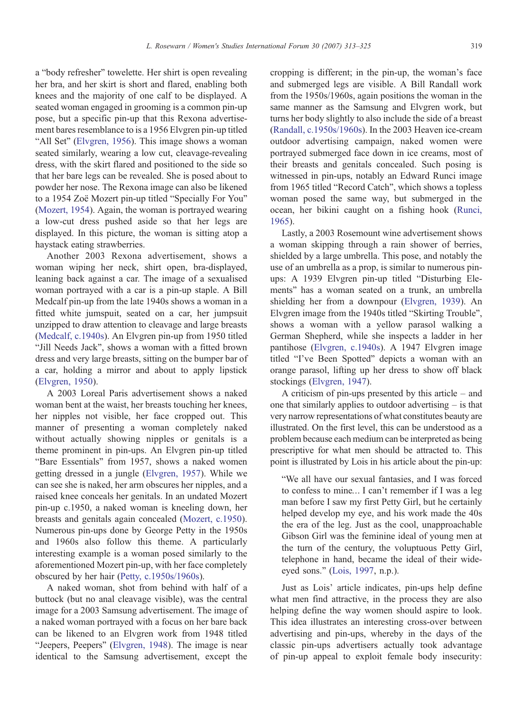a "body refresher" towelette. Her shirt is open revealing her bra, and her skirt is short and flared, enabling both knees and the majority of one calf to be displayed. A seated woman engaged in grooming is a common pin-up pose, but a specific pin-up that this Rexona advertisement bares resemblance to is a 1956 Elvgren pin-up titled "All Set" ([Elvgren, 1956\)](#page-10-0). This image shows a woman seated similarly, wearing a low cut, cleavage-revealing dress, with the skirt flared and positioned to the side so that her bare legs can be revealed. She is posed about to powder her nose. The Rexona image can also be likened to a 1954 Zoë Mozert pin-up titled "Specially For You" [\(Mozert, 1954](#page-11-0)). Again, the woman is portrayed wearing a low-cut dress pushed aside so that her legs are displayed. In this picture, the woman is sitting atop a haystack eating strawberries.

Another 2003 Rexona advertisement, shows a woman wiping her neck, shirt open, bra-displayed, leaning back against a car. The image of a sexualised woman portrayed with a car is a pin-up staple. A Bill Medcalf pin-up from the late 1940s shows a woman in a fitted white jumspuit, seated on a car, her jumpsuit unzipped to draw attention to cleavage and large breasts [\(Medcalf, c.1940s\)](#page-11-0). An Elvgren pin-up from 1950 titled "Jill Needs Jack", shows a woman with a fitted brown dress and very large breasts, sitting on the bumper bar of a car, holding a mirror and about to apply lipstick [\(Elvgren, 1950\)](#page-10-0).

A 2003 Loreal Paris advertisement shows a naked woman bent at the waist, her breasts touching her knees, her nipples not visible, her face cropped out. This manner of presenting a woman completely naked without actually showing nipples or genitals is a theme prominent in pin-ups. An Elvgren pin-up titled "Bare Essentials" from 1957, shows a naked women getting dressed in a jungle [\(Elvgren, 1957](#page-10-0)). While we can see she is naked, her arm obscures her nipples, and a raised knee conceals her genitals. In an undated Mozert pin-up c.1950, a naked woman is kneeling down, her breasts and genitals again concealed ([Mozert, c.1950](#page-11-0)). Numerous pin-ups done by George Petty in the 1950s and 1960s also follow this theme. A particularly interesting example is a woman posed similarly to the aforementioned Mozert pin-up, with her face completely obscured by her hair ([Petty, c.1950s/1960s\)](#page-11-0).

A naked woman, shot from behind with half of a buttock (but no anal cleavage visible), was the central image for a 2003 Samsung advertisement. The image of a naked woman portrayed with a focus on her bare back can be likened to an Elvgren work from 1948 titled "Jeepers, Peepers" ([Elvgren, 1948](#page-10-0)). The image is near identical to the Samsung advertisement, except the

cropping is different; in the pin-up, the woman's face and submerged legs are visible. A Bill Randall work from the 1950s/1960s, again positions the woman in the same manner as the Samsung and Elvgren work, but turns her body slightly to also include the side of a breast [\(Randall, c.1950s/1960s\)](#page-11-0). In the 2003 Heaven ice-cream outdoor advertising campaign, naked women were portrayed submerged face down in ice creams, most of their breasts and genitals concealed. Such posing is witnessed in pin-ups, notably an Edward Runci image from 1965 titled "Record Catch", which shows a topless woman posed the same way, but submerged in the ocean, her bikini caught on a fishing hook ([Runci,](#page-11-0) [1965\)](#page-11-0).

Lastly, a 2003 Rosemount wine advertisement shows a woman skipping through a rain shower of berries, shielded by a large umbrella. This pose, and notably the use of an umbrella as a prop, is similar to numerous pinups: A 1939 Elvgren pin-up titled "Disturbing Elements" has a woman seated on a trunk, an umbrella shielding her from a downpour ([Elvgren, 1939](#page-10-0)). An Elvgren image from the 1940s titled "Skirting Trouble", shows a woman with a yellow parasol walking a German Shepherd, while she inspects a ladder in her pantihose ([Elvgren, c.1940s\)](#page-10-0). A 1947 Elvgren image titled "I've Been Spotted" depicts a woman with an orange parasol, lifting up her dress to show off black stockings ([Elvgren, 1947](#page-10-0)).

A criticism of pin-ups presented by this article – and one that similarly applies to outdoor advertising – is that very narrow representations of what constitutes beauty are illustrated. On the first level, this can be understood as a problem because each medium can be interpreted as being prescriptive for what men should be attracted to. This point is illustrated by Lois in his article about the pin-up:

"We all have our sexual fantasies, and I was forced to confess to mine… I can't remember if I was a leg man before I saw my first Petty Girl, but he certainly helped develop my eye, and his work made the 40s the era of the leg. Just as the cool, unapproachable Gibson Girl was the feminine ideal of young men at the turn of the century, the voluptuous Petty Girl, telephone in hand, became the ideal of their wideeyed sons." ([Lois, 1997](#page-11-0), n.p.).

Just as Lois' article indicates, pin-ups help define what men find attractive, in the process they are also helping define the way women should aspire to look. This idea illustrates an interesting cross-over between advertising and pin-ups, whereby in the days of the classic pin-ups advertisers actually took advantage of pin-up appeal to exploit female body insecurity: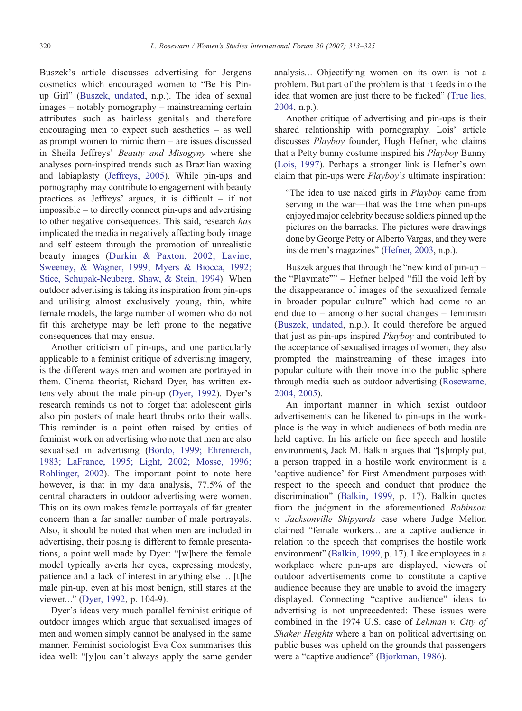Buszek's article discusses advertising for Jergens cosmetics which encouraged women to "Be his Pinup Girl" [\(Buszek, undated](#page-10-0), n.p.). The idea of sexual images – notably pornography – mainstreaming certain attributes such as hairless genitals and therefore encouraging men to expect such aesthetics – as well as prompt women to mimic them – are issues discussed in Sheila Jeffreys' Beauty and Misogyny where she analyses porn-inspired trends such as Brazilian waxing and labiaplasty ([Jeffreys, 2005\)](#page-11-0). While pin-ups and pornography may contribute to engagement with beauty practices as Jeffreys' argues, it is difficult – if not impossible – to directly connect pin-ups and advertising to other negative consequences. This said, research has implicated the media in negatively affecting body image and self esteem through the promotion of unrealistic beauty images ([Durkin & Paxton, 2002; Lavine,](#page-10-0) [Sweeney, & Wagner, 1999; Myers & Biocca, 1992;](#page-10-0) [Stice, Schupak-Neuberg, Shaw, & Stein, 1994](#page-10-0)). When outdoor advertising is taking its inspiration from pin-ups and utilising almost exclusively young, thin, white female models, the large number of women who do not fit this archetype may be left prone to the negative consequences that may ensue.

Another criticism of pin-ups, and one particularly applicable to a feminist critique of advertising imagery, is the different ways men and women are portrayed in them. Cinema theorist, Richard Dyer, has written extensively about the male pin-up ([Dyer, 1992\)](#page-10-0). Dyer's research reminds us not to forget that adolescent girls also pin posters of male heart throbs onto their walls. This reminder is a point often raised by critics of feminist work on advertising who note that men are also sexualised in advertising ([Bordo, 1999; Ehrenreich,](#page-10-0) [1983; LaFrance, 1995; Light, 2002; Mosse, 1996;](#page-10-0) [Rohlinger, 2002](#page-10-0)). The important point to note here however, is that in my data analysis, 77.5% of the central characters in outdoor advertising were women. This on its own makes female portrayals of far greater concern than a far smaller number of male portrayals. Also, it should be noted that when men are included in advertising, their posing is different to female presentations, a point well made by Dyer: "[w]here the female model typically averts her eyes, expressing modesty, patience and a lack of interest in anything else … [t]he male pin-up, even at his most benign, still stares at the viewer…" ([Dyer, 1992,](#page-10-0) p. 104-9).

Dyer's ideas very much parallel feminist critique of outdoor images which argue that sexualised images of men and women simply cannot be analysed in the same manner. Feminist sociologist Eva Cox summarises this idea well: "[y]ou can't always apply the same gender

analysis… Objectifying women on its own is not a problem. But part of the problem is that it feeds into the idea that women are just there to be fucked" [\(True lies,](#page-12-0) [2004](#page-12-0), n.p.).

Another critique of advertising and pin-ups is their shared relationship with pornography. Lois' article discusses Playboy founder, Hugh Hefner, who claims that a Petty bunny costume inspired his Playboy Bunny [\(Lois, 1997](#page-11-0)). Perhaps a stronger link is Hefner's own claim that pin-ups were Playboy's ultimate inspiration:

"The idea to use naked girls in *Playboy* came from serving in the war—that was the time when pin-ups enjoyed major celebrity because soldiers pinned up the pictures on the barracks. The pictures were drawings done by George Petty or Alberto Vargas, and they were inside men's magazines" [\(Hefner, 2003](#page-10-0), n.p.).

Buszek argues that through the "new kind of pin-up – the "Playmate"" – Hefner helped "fill the void left by the disappearance of images of the sexualized female in broader popular culture" which had come to an end due to – among other social changes – feminism ([Buszek, undated,](#page-10-0) n.p.). It could therefore be argued that just as pin-ups inspired Playboy and contributed to the acceptance of sexualised images of women, they also prompted the mainstreaming of these images into popular culture with their move into the public sphere through media such as outdoor advertising ([Rosewarne,](#page-11-0) [2004, 2005](#page-11-0)).

An important manner in which sexist outdoor advertisements can be likened to pin-ups in the workplace is the way in which audiences of both media are held captive. In his article on free speech and hostile environments, Jack M. Balkin argues that "[s]imply put, a person trapped in a hostile work environment is a 'captive audience' for First Amendment purposes with respect to the speech and conduct that produce the discrimination" ([Balkin, 1999](#page-9-0), p. 17). Balkin quotes from the judgment in the aforementioned Robinson v. Jacksonville Shipyards case where Judge Melton claimed "female workers… are a captive audience in relation to the speech that comprises the hostile work environment" ([Balkin, 1999,](#page-9-0) p. 17). Like employees in a workplace where pin-ups are displayed, viewers of outdoor advertisements come to constitute a captive audience because they are unable to avoid the imagery displayed. Connecting "captive audience" ideas to advertising is not unprecedented: These issues were combined in the 1974 U.S. case of Lehman v. City of Shaker Heights where a ban on political advertising on public buses was upheld on the grounds that passengers were a "captive audience" ([Bjorkman, 1986\)](#page-10-0).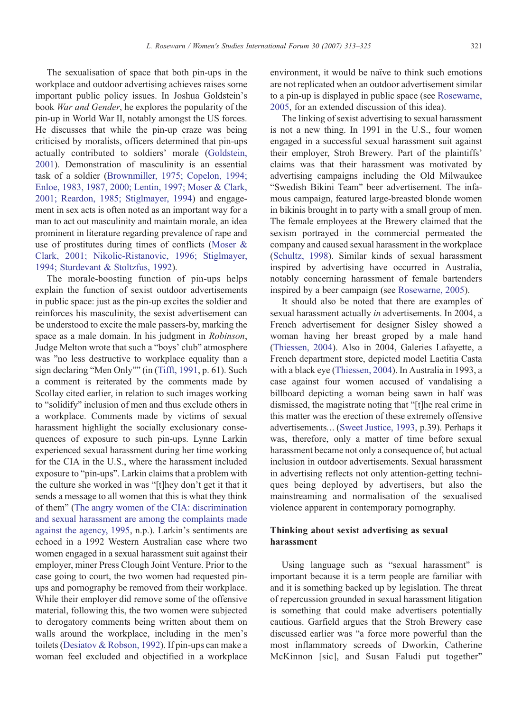The sexualisation of space that both pin-ups in the workplace and outdoor advertising achieves raises some important public policy issues. In Joshua Goldstein's book War and Gender, he explores the popularity of the pin-up in World War II, notably amongst the US forces. He discusses that while the pin-up craze was being criticised by moralists, officers determined that pin-ups actually contributed to soldiers' morale ([Goldstein,](#page-10-0) [2001\)](#page-10-0). Demonstration of masculinity is an essential task of a soldier ([Brownmiller, 1975; Copelon, 1994;](#page-10-0) [Enloe, 1983, 1987, 2000; Lentin, 1997; Moser & Clark,](#page-10-0) [2001; Reardon, 1985; Stiglmayer, 1994\)](#page-10-0) and engagement in sex acts is often noted as an important way for a man to act out masculinity and maintain morale, an idea prominent in literature regarding prevalence of rape and use of prostitutes during times of conflicts ([Moser &](#page-11-0) [Clark, 2001; Nikolic-Ristanovic, 1996; Stiglmayer,](#page-11-0) [1994; Sturdevant & Stoltzfus, 1992](#page-11-0)).

The morale-boosting function of pin-ups helps explain the function of sexist outdoor advertisements in public space: just as the pin-up excites the soldier and reinforces his masculinity, the sexist advertisement can be understood to excite the male passers-by, marking the space as a male domain. In his judgment in Robinson, Judge Melton wrote that such a "boys' club" atmosphere was "no less destructive to workplace equality than a sign declaring "Men Only"" (in ([Tifft, 1991,](#page-12-0) p. 61). Such a comment is reiterated by the comments made by Scollay cited earlier, in relation to such images working to "solidify" inclusion of men and thus exclude others in a workplace. Comments made by victims of sexual harassment highlight the socially exclusionary consequences of exposure to such pin-ups. Lynne Larkin experienced sexual harassment during her time working for the CIA in the U.S., where the harassment included exposure to "pin-ups". Larkin claims that a problem with the culture she worked in was "[t]hey don't get it that it sends a message to all women that this is what they think of them" ([The angry women of the CIA: discrimination](#page-12-0) [and sexual harassment are among the complaints made](#page-12-0) [against the agency, 1995,](#page-12-0) n.p.). Larkin's sentiments are echoed in a 1992 Western Australian case where two women engaged in a sexual harassment suit against their employer, miner Press Clough Joint Venture. Prior to the case going to court, the two women had requested pinups and pornography be removed from their workplace. While their employer did remove some of the offensive material, following this, the two women were subjected to derogatory comments being written about them on walls around the workplace, including in the men's toilets ([Desiatov & Robson, 1992](#page-10-0)). If pin-ups can make a woman feel excluded and objectified in a workplace

environment, it would be naïve to think such emotions are not replicated when an outdoor advertisement similar to a pin-up is displayed in public space (see [Rosewarne,](#page-11-0) [2005,](#page-11-0) for an extended discussion of this idea).

The linking of sexist advertising to sexual harassment is not a new thing. In 1991 in the U.S., four women engaged in a successful sexual harassment suit against their employer, Stroh Brewery. Part of the plaintiffs' claims was that their harassment was motivated by advertising campaigns including the Old Milwaukee "Swedish Bikini Team" beer advertisement. The infamous campaign, featured large-breasted blonde women in bikinis brought in to party with a small group of men. The female employees at the Brewery claimed that the sexism portrayed in the commercial permeated the company and caused sexual harassment in the workplace [\(Schultz, 1998\)](#page-11-0). Similar kinds of sexual harassment inspired by advertising have occurred in Australia, notably concerning harassment of female bartenders inspired by a beer campaign (see [Rosewarne, 2005\)](#page-11-0).

It should also be noted that there are examples of sexual harassment actually in advertisements. In 2004, a French advertisement for designer Sisley showed a woman having her breast groped by a male hand [\(Thiessen, 2004\)](#page-12-0). Also in 2004, Galeries Lafayette, a French department store, depicted model Laetitia Casta with a black eye ([Thiessen, 2004](#page-12-0)). In Australia in 1993, a case against four women accused of vandalising a billboard depicting a woman being sawn in half was dismissed, the magistrate noting that "[t]he real crime in this matter was the erection of these extremely offensive advertisements… [\(Sweet Justice, 1993,](#page-12-0) p.39). Perhaps it was, therefore, only a matter of time before sexual harassment became not only a consequence of, but actual inclusion in outdoor advertisements. Sexual harassment in advertising reflects not only attention-getting techniques being deployed by advertisers, but also the mainstreaming and normalisation of the sexualised violence apparent in contemporary pornography.

## Thinking about sexist advertising as sexual harassment

Using language such as "sexual harassment" is important because it is a term people are familiar with and it is something backed up by legislation. The threat of repercussion grounded in sexual harassment litigation is something that could make advertisers potentially cautious. Garfield argues that the Stroh Brewery case discussed earlier was "a force more powerful than the most inflammatory screeds of Dworkin, Catherine McKinnon [sic], and Susan Faludi put together"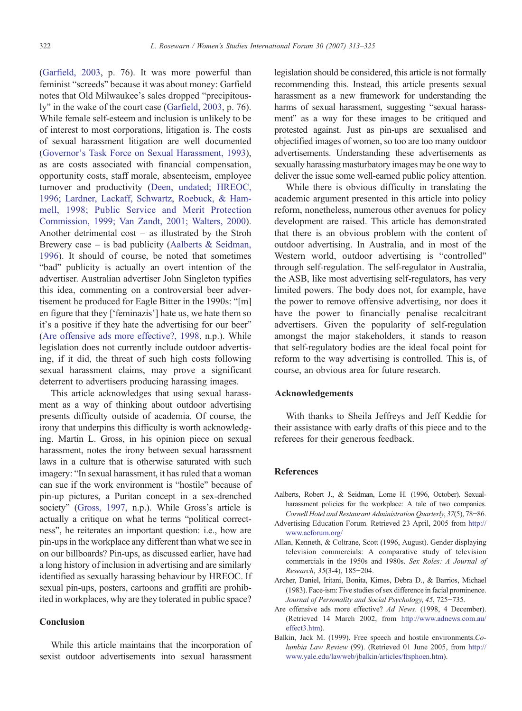<span id="page-9-0"></span>[\(Garfield, 2003,](#page-10-0) p. 76). It was more powerful than feminist "screeds" because it was about money: Garfield notes that Old Milwaukee's sales dropped "precipitously" in the wake of the court case [\(Garfield, 2003,](#page-10-0) p. 76). While female self-esteem and inclusion is unlikely to be of interest to most corporations, litigation is. The costs of sexual harassment litigation are well documented [\(Governor's Task Force on Sexual Harassment, 1993\)](#page-10-0), as are costs associated with financial compensation, opportunity costs, staff morale, absenteeism, employee turnover and productivity [\(Deen, undated; HREOC,](#page-10-0) [1996; Lardner, Lackaff, Schwartz, Roebuck, & Ham](#page-10-0)[mell, 1998; Public Service and Merit Protection](#page-10-0) [Commission, 1999; Van Zandt, 2001; Walters, 2000\)](#page-10-0). Another detrimental cost – as illustrated by the Stroh Brewery case – is bad publicity (Aalberts & Seidman, 1996). It should of course, be noted that sometimes "bad" publicity is actually an overt intention of the advertiser. Australian advertiser John Singleton typifies this idea, commenting on a controversial beer advertisement he produced for Eagle Bitter in the 1990s: "[m] en figure that they ['feminazis'] hate us, we hate them so it's a positive if they hate the advertising for our beer" (Are offensive ads more effective?, 1998, n.p.). While legislation does not currently include outdoor advertising, if it did, the threat of such high costs following sexual harassment claims, may prove a significant deterrent to advertisers producing harassing images.

This article acknowledges that using sexual harassment as a way of thinking about outdoor advertising presents difficulty outside of academia. Of course, the irony that underpins this difficulty is worth acknowledging. Martin L. Gross, in his opinion piece on sexual harassment, notes the irony between sexual harassment laws in a culture that is otherwise saturated with such imagery: "In sexual harassment, it has ruled that a woman can sue if the work environment is "hostile" because of pin-up pictures, a Puritan concept in a sex-drenched society" ([Gross, 1997,](#page-10-0) n.p.). While Gross's article is actually a critique on what he terms "political correctness", he reiterates an important question: i.e., how are pin-ups in the workplace any different than what we see in on our billboards? Pin-ups, as discussed earlier, have had a long history of inclusion in advertising and are similarly identified as sexually harassing behaviour by HREOC. If sexual pin-ups, posters, cartoons and graffiti are prohibited in workplaces, why are they tolerated in public space?

#### Conclusion

While this article maintains that the incorporation of sexist outdoor advertisements into sexual harassment

legislation should be considered, this article is not formally recommending this. Instead, this article presents sexual harassment as a new framework for understanding the harms of sexual harassment, suggesting "sexual harassment" as a way for these images to be critiqued and protested against. Just as pin-ups are sexualised and objectified images of women, so too are too many outdoor advertisements. Understanding these advertisements as sexually harassing masturbatory images may be one way to deliver the issue some well-earned public policy attention.

While there is obvious difficulty in translating the academic argument presented in this article into policy reform, nonetheless, numerous other avenues for policy development are raised. This article has demonstrated that there is an obvious problem with the content of outdoor advertising. In Australia, and in most of the Western world, outdoor advertising is "controlled" through self-regulation. The self-regulator in Australia, the ASB, like most advertising self-regulators, has very limited powers. The body does not, for example, have the power to remove offensive advertising, nor does it have the power to financially penalise recalcitrant advertisers. Given the popularity of self-regulation amongst the major stakeholders, it stands to reason that self-regulatory bodies are the ideal focal point for reform to the way advertising is controlled. This is, of course, an obvious area for future research.

#### Acknowledgements

With thanks to Sheila Jeffreys and Jeff Keddie for their assistance with early drafts of this piece and to the referees for their generous feedback.

#### **References**

- Aalberts, Robert J., & Seidman, Lorne H. (1996, October). Sexualharassment policies for the workplace: A tale of two companies. Cornell Hotel and Restaurant Administration Quarterly, 37(5), 78−86.
- Advertising Education Forum. Retrieved 23 April, 2005 from [http://](http://www.aeforum.org/) [www.aeforum.org/](http://www.aeforum.org/)
- Allan, Kenneth, & Coltrane, Scott (1996, August). Gender displaying television commercials: A comparative study of television commercials in the 1950s and 1980s. Sex Roles: A Journal of Research, 35(3-4), 185−204.
- Archer, Daniel, Iritani, Bonita, Kimes, Debra D., & Barrios, Michael (1983). Face-ism: Five studies of sex difference in facial prominence. Journal of Personality and Social Psychology, 45, 725−735.
- Are offensive ads more effective? Ad News. (1998, 4 December). (Retrieved 14 March 2002, from [http://www.adnews.com.au/](http://www.adnews.com.au/effect3.htm) [effect3.htm](http://www.adnews.com.au/effect3.htm)).
- Balkin, Jack M. (1999). Free speech and hostile environments.Columbia Law Review (99). (Retrieved 01 June 2005, from [http://](http://www.yale.edu/lawweb/jbalkin/articles/frsphoen.htm) [www.yale.edu/lawweb/jbalkin/articles/frsphoen.htm\)](http://www.yale.edu/lawweb/jbalkin/articles/frsphoen.htm).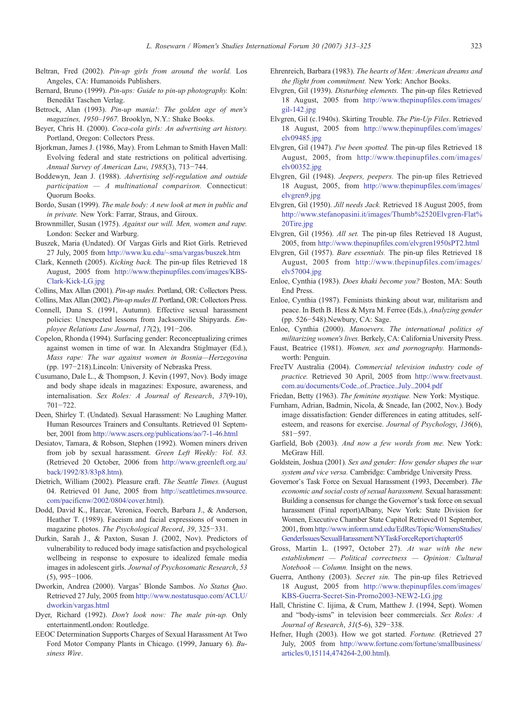- <span id="page-10-0"></span>Beltran, Fred (2002). Pin-up girls from around the world. Los Angeles, CA: Humanoids Publishers.
- Bernard, Bruno (1999). Pin-ups: Guide to pin-up photography. Koln: Benedikt Taschen Verlag.
- Betrock, Alan (1993). Pin-up mania!: The golden age of men's magazines, 1950–1967. Brooklyn, N.Y.: Shake Books.
- Beyer, Chris H. (2000). Coca-cola girls: An advertising art history. Portland, Oregon: Collectors Press.
- Bjorkman, James J. (1986, May). From Lehman to Smith Haven Mall: Evolving federal and state restrictions on political advertising. Annual Survey of American Law, 1985(3), 713−744.
- Boddewyn, Jean J. (1988). Advertising self-regulation and outside  $partition - A$  multinational comparison. Connecticut: Quorum Books.
- Bordo, Susan (1999). The male body: A new look at men in public and in private. New York: Farrar, Straus, and Giroux.
- Brownmiller, Susan (1975). Against our will. Men, women and rape. London: Secker and Warburg.
- Buszek, Maria (Undated). Of Vargas Girls and Riot Girls. Retrieved 27 July, 2005 from <http://www.ku.edu/~sma/vargas/buszek.htm>
- Clark, Kenneth (2005). Kicking back. The pin-up files Retrieved 18 August, 2005 from [http://www.thepinupfiles.com/images/KBS-](http://www.thepinupfiles.com/images/KBS-Clark-Kick-LG.jpg)[Clark-Kick-LG.jpg](http://www.thepinupfiles.com/images/KBS-Clark-Kick-LG.jpg)

Collins, Max Allan (2001). Pin-up nudes. Portland, OR: Collectors Press.

Collins, Max Allan (2002).Pin-up nudes II. Portland, OR: Collectors Press.

- Connell, Dana S. (1991, Autumn). Effective sexual harassment policies: Unexpected lessons from Jacksonville Shipyards. Employee Relations Law Journal, 17(2), 191−206.
- Copelon, Rhonda (1994). Surfacing gender: Reconceptualizing crimes against women in time of war. In Alexandra Stiglmayer (Ed.), Mass rape: The war against women in Bosnia—Herzegovina (pp. 197−218).Lincoln: University of Nebraska Press.
- Cusumano, Dale L., & Thompson, J. Kevin (1997, Nov). Body image and body shape ideals in magazines: Exposure, awareness, and internalisation. Sex Roles: A Journal of Research, 37(9-10), 701−722.
- Deen, Shirley T. (Undated). Sexual Harassment: No Laughing Matter. Human Resources Trainers and Consultants. Retrieved 01 September, 2001 from <http://www.ascrs.org/publications/ao/7-1-46.html>
- Desiatov, Tamara, & Robson, Stephen (1992). Women miners driven from job by sexual harassment. Green Left Weekly: Vol. 83. (Retrieved 20 October, 2006 from [http://www.greenleft.org.au/](http://www.greenleft.org.au/back/1992/83/83p8.htm) [back/1992/83/83p8.htm](http://www.greenleft.org.au/back/1992/83/83p8.htm)).
- Dietrich, William (2002). Pleasure craft. The Seattle Times. (August 04. Retrieved 01 June, 2005 from [http://seattletimes.nwsource.](http://seattletimes.nwsource.com/pacificnw/2002/0804/cover.html) [com/pacificnw/2002/0804/cover.html](http://seattletimes.nwsource.com/pacificnw/2002/0804/cover.html)).
- Dodd, David K., Harcar, Veronica, Foerch, Barbara J., & Anderson, Heather T. (1989). Faceism and facial expressions of women in magazine photos. The Psychological Record, 39, 325−331.
- Durkin, Sarah J., & Paxton, Susan J. (2002, Nov). Predictors of vulnerability to reduced body image satisfaction and psychological wellbeing in response to exposure to idealized female media images in adolescent girls. Journal of Psychosomatic Research, 53 (5), 995−1006.
- Dworkin, Andrea (2000). Vargas' Blonde Sambos. No Status Quo. Retrieved 27 July, 2005 from [http://www.nostatusquo.com/ACLU/](http://www.nostatusquo.com/ACLU/dworkin/vargas.html) [dworkin/vargas.html](http://www.nostatusquo.com/ACLU/dworkin/vargas.html)
- Dyer, Richard (1992). Don't look now: The male pin-up. Only entertainmentLondon: Routledge.
- EEOC Determination Supports Charges of Sexual Harassment At Two Ford Motor Company Plants in Chicago. (1999, January 6). Business Wire.
- Ehrenreich, Barbara (1983). The hearts of Men: American dreams and the flight from commitment. New York: Anchor Books.
- Elvgren, Gil (1939). Disturbing elements. The pin-up files Retrieved 18 August, 2005 from [http://www.thepinupfiles.com/images/](http://www.thepinupfiles.com/images/gil-142.jpg) [gil-142.jpg](http://www.thepinupfiles.com/images/gil-142.jpg)
- Elvgren, Gil (c.1940s). Skirting Trouble. The Pin-Up Files. Retrieved 18 August, 2005 from [http://www.thepinupfiles.com/images/](http://www.thepinupfiles.com/images/elv09485.jpg) [elv09485.jpg](http://www.thepinupfiles.com/images/elv09485.jpg)
- Elvgren, Gil (1947). I've been spotted. The pin-up files Retrieved 18 August, 2005, from [http://www.thepinupfiles.com/images/](http://www.thepinupfiles.com/images/elv00352.jpg) [elv00352.jpg](http://www.thepinupfiles.com/images/elv00352.jpg)
- Elvgren, Gil (1948). Jeepers, peepers. The pin-up files Retrieved 18 August, 2005, from [http://www.thepinupfiles.com/images/](http://www.thepinupfiles.com/images/elvgren9.jpg) [elvgren9.jpg](http://www.thepinupfiles.com/images/elvgren9.jpg)
- Elvgren, Gil (1950). Jill needs Jack. Retrieved 18 August 2005, from [http://www.stefanopasini.it/images/Thumb%2520Elvgren-Flat%](http://www.stefanopasini.it/images/Thumb%2520Elvgren-Flat%2520Tire.jpg) [20Tire.jpg](http://www.stefanopasini.it/images/Thumb%2520Elvgren-Flat%2520Tire.jpg)
- Elvgren, Gil (1956). All set. The pin-up files Retrieved 18 August, 2005, from <http://www.thepinupfiles.com/elvgren1950sPT2.html>
- Elvgren, Gil (1957). Bare essentials. The pin-up files Retrieved 18 August, 2005 from [http://www.thepinupfiles.com/images/](http://www.thepinupfiles.com/images/elv57004.jpg) [elv57004.jpg](http://www.thepinupfiles.com/images/elv57004.jpg)
- Enloe, Cynthia (1983). Does khaki become you? Boston, MA: South End Press.
- Enloe, Cynthia (1987). Feminists thinking about war, militarism and peace. In Beth B. Hess & Myra M. Ferree (Eds.), Analyzing gender (pp. 526−548).Newbury, CA: Sage.
- Enloe, Cynthia (2000). Manoevers. The international politics of militarizing women's lives. Berkely, CA: California University Press.
- Faust, Beatrice (1981). Women, sex and pornography. Harmondsworth: Penguin.
- FreeTV Australia (2004). Commercial television industry code of practice. Retrieved 30 April, 2005 from [http://www.freetvaust.](http://www.freetvaust.com.au/documents/Code_of_Practice_July_2004.pdf) [com.au/documents/Code\\_of\\_Practice\\_July\\_2004.pdf](http://www.freetvaust.com.au/documents/Code_of_Practice_July_2004.pdf)

Friedan, Betty (1963). The feminine mystique. New York: Mystique.

- Furnham, Adrian, Badmin, Nicola, & Sneade, Ian (2002, Nov.). Body image dissatisfaction: Gender differences in eating attitudes, selfesteem, and reasons for exercise. Journal of Psychology, 136(6), 581−597.
- Garfield, Bob (2003). And now a few words from me. New York: McGraw Hill.
- Goldstein, Joshua (2001). Sex and gender: How gender shapes the war system and vice versa. Cambridge: Cambridge University Press.
- Governor's Task Force on Sexual Harassment (1993, December). The economic and social costs of sexual harassment. Sexual harassment: Building a consensus for change the Governor's task force on sexual harassment (Final report)Albany, New York: State Division for Women, Executive Chamber State Capitol Retrieved 01 September, 2001, from [http://www.inform.umd.edu/EdRes/Topic/WomensStudies/](http://www.inform.umd.edu/EdRes/Topic/WomensStudies/GenderIssues/SexualHarassment/NYTaskForceReport/chapter05) [GenderIssues/SexualHarassment/NYTaskForceReport/chapter05](http://www.inform.umd.edu/EdRes/Topic/WomensStudies/GenderIssues/SexualHarassment/NYTaskForceReport/chapter05)
- Gross, Martin L. (1997, October 27). At war with the new establishment — Political correctness — Opinion: Cultural  $Notebook - Column$ . Insight on the news.
- Guerra, Anthony (2003). Secret sin. The pin-up files Retrieved 18 August, 2005 from [http://www.thepinupfiles.com/images/](http://www.thepinupfiles.com/images/KBS-Guerra-Secret-Sin-Promo2003-NEW2-LG.jpg) [KBS-Guerra-Secret-Sin-Promo2003-NEW2-LG.jpg](http://www.thepinupfiles.com/images/KBS-Guerra-Secret-Sin-Promo2003-NEW2-LG.jpg)
- Hall, Christine C. Iijima, & Crum, Matthew J. (1994, Sept). Women and "body-isms" in television beer commercials. Sex Roles: A Journal of Research, 31(5-6), 329−338.
- Hefner, Hugh (2003). How we got started. Fortune. (Retrieved 27 July, 2005 from [http://www.fortune.com/fortune/smallbusiness/](http://www.fortune.com/fortune/smallbusiness/articles/0,15114,474264-2,00.html) [articles/0,15114,474264-2,00.html\)](http://www.fortune.com/fortune/smallbusiness/articles/0,15114,474264-2,00.html).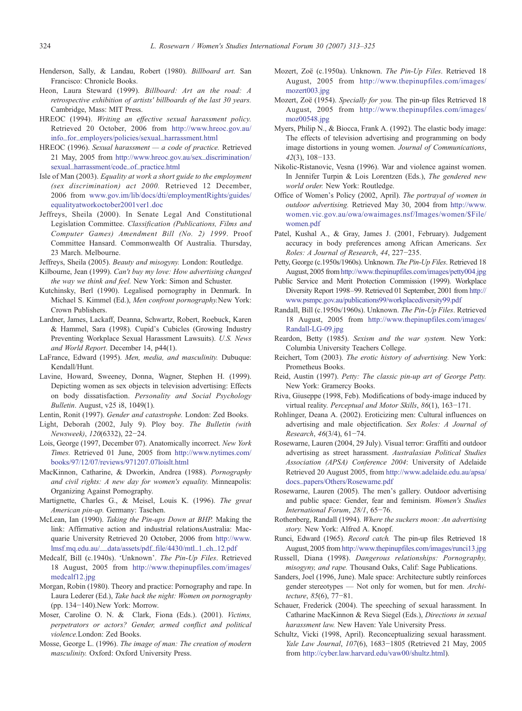- <span id="page-11-0"></span>Henderson, Sally, & Landau, Robert (1980). Billboard art. San Francisco: Chronicle Books.
- Heon, Laura Steward (1999). Billboard: Art an the road: A retrospective exhibition of artists' billboards of the last 30 years. Cambridge, Mass: MIT Press.
- HREOC (1994). Writing an effective sexual harassment policy. Retrieved 20 October, 2006 from [http://www.hreoc.gov.au/](http://www.hreoc.gov.au/info_for_employers/policies/sexual_harrassment.html) [info\\_for\\_employers/policies/sexual\\_harrassment.html](http://www.hreoc.gov.au/info_for_employers/policies/sexual_harrassment.html)
- HREOC (1996). Sexual harassment a code of practice. Retrieved 21 May, 2005 from [http://www.hreoc.gov.au/sex\\_discrimination/](http://www.hreoc.gov.au/sex_discrimination/sexual_harrassment/code_of_practice.html) [sexual\\_harrassment/code\\_of\\_practice.html](http://www.hreoc.gov.au/sex_discrimination/sexual_harrassment/code_of_practice.html)
- Isle of Man (2003). Equality at work a short guide to the employment (sex discrimination) act 2000. Retrieved 12 December, 2006 from [www.gov.im/lib/docs/dti/employmentRights/guides/](http://www.gov.im/lib/docs/dti/employmentRights/guides/equalityatworkoctober2001ver1.doc) [equalityatworkoctober2001ver1.doc](http://www.gov.im/lib/docs/dti/employmentRights/guides/equalityatworkoctober2001ver1.doc)
- Jeffreys, Sheila (2000). In Senate Legal And Constitutional Legislation Committee. Classification (Publications, Films and Computer Games) Amendment Bill (No. 2) 1999. Proof Committee Hansard. Commonwealth Of Australia. Thursday, 23 March. Melbourne.

Jeffreys, Sheila (2005). Beauty and misogyny. London: Routledge.

- Kilbourne, Jean (1999). Can't buy my love: How advertising changed the way we think and feel. New York: Simon and Schuster.
- Kutchinsky, Berl (1990). Legalised pornography in Denmark. In Michael S. Kimmel (Ed.), Men confront pornography.New York: Crown Publishers.
- Lardner, James, Lackaff, Deanna, Schwartz, Robert, Roebuck, Karen & Hammel, Sara (1998). Cupid's Cubicles (Growing Industry Preventing Workplace Sexual Harassment Lawsuits). U.S. News and World Report. December 14, p44(1).
- LaFrance, Edward (1995). Men, media, and masculinity. Dubuque: Kendall/Hunt.
- Lavine, Howard, Sweeney, Donna, Wagner, Stephen H. (1999). Depicting women as sex objects in television advertising: Effects on body dissatisfaction. Personality and Social Psychology Bulletin. August, v25 i8, 1049(1).
- Lentin, Ronit (1997). Gender and catastrophe. London: Zed Books.
- Light, Deborah (2002, July 9). Ploy boy. The Bulletin (with Newsweek), 120(6332), 22−24.
- Lois, George (1997, December 07). Anatomically incorrect. New York Times. Retrieved 01 June, 2005 from [http://www.nytimes.com/](http://www.nytimes.com/books/97/12/07/reviews/971207.07loislt.html) [books/97/12/07/reviews/971207.07loislt.html](http://www.nytimes.com/books/97/12/07/reviews/971207.07loislt.html)
- MacKinnon, Catharine, & Dworkin, Andrea (1988). Pornography and civil rights: A new day for women's equality. Minneapolis: Organizing Against Pornography.
- Martignette, Charles G., & Meisel, Louis K. (1996). The great American pin-up. Germany: Taschen.
- McLean, Ian (1990). Taking the Pin-ups Down at BHP. Making the link: Affirmative action and industrial relationsAustralia: Macquarie University Retrieved 20 October, 2006 from [http://www.](http://www.lmsf.mq.edu.au/__data/assets/pdf_file/4430/mtl_1_ch_12.pdf) [lmsf.mq.edu.au/\\_\\_data/assets/pdf\\_file/4430/mtl\\_1\\_ch\\_12.pdf](http://www.lmsf.mq.edu.au/__data/assets/pdf_file/4430/mtl_1_ch_12.pdf)
- Medcalf, Bill (c.1940s). 'Unknown'. The Pin-Up Files. Retrieved 18 August, 2005 from [http://www.thepinupfiles.com/images/](http://www.thepinupfiles.com/images/medcalf12.jpg) [medcalf12.jpg](http://www.thepinupfiles.com/images/medcalf12.jpg)
- Morgan, Robin (1980). Theory and practice: Pornography and rape. In Laura Lederer (Ed.), Take back the night: Women on pornography (pp. 134−140).New York: Morrow.
- Moser, Caroline O. N. & Clark, Fiona (Eds.). (2001). Victims, perpetrators or actors? Gender, armed conflict and political violence.London: Zed Books.
- Mosse, George L. (1996). The image of man: The creation of modern masculinity. Oxford: Oxford University Press.
- Mozert, Zoë (c.1950a). Unknown. The Pin-Up Files. Retrieved 18 August, 2005 from [http://www.thepinupfiles.com/images/](http://www.thepinupfiles.com/images/mozert003.jpg) [mozert003.jpg](http://www.thepinupfiles.com/images/mozert003.jpg)
- Mozert, Zoë (1954). Specially for you. The pin-up files Retrieved 18 August, 2005 from [http://www.thepinupfiles.com/images/](http://www.thepinupfiles.com/images/moz00548.jpg) [moz00548.jpg](http://www.thepinupfiles.com/images/moz00548.jpg)
- Myers, Philip N., & Biocca, Frank A. (1992). The elastic body image: The effects of television advertising and programming on body image distortions in young women. Journal of Communications, 42(3), 108−133.
- Nikolic-Ristanovic, Vesna (1996). War and violence against women. In Jennifer Turpin & Lois Lorentzen (Eds.), The gendered new world order. New York: Routledge.
- Office of Women's Policy (2002, April). The portrayal of women in outdoor advertising. Retrieved May 30, 2004 from [http://www.](http://www.women.vic.gov.au/owa/owaimages.nsf/Images/women/File/women.pdf) [women.vic.gov.au/owa/owaimages.nsf/Images/women/\\$File/](http://www.women.vic.gov.au/owa/owaimages.nsf/Images/women/File/women.pdf) [women.pdf](http://www.women.vic.gov.au/owa/owaimages.nsf/Images/women/File/women.pdf)
- Patel, Kushal A., & Gray, James J. (2001, February). Judgement accuracy in body preferences among African Americans. Sex Roles: A Journal of Research, 44, 227−235.
- Petty, George (c.1950s/1960s). Unknown. The Pin-Up Files. Retrieved 18 August, 2005 from<http://www.thepinupfiles.com/images/petty004.jpg>
- Public Service and Merit Protection Commission (1999). Workplace Diversity Report 1998–99. Retrieved 01 September, 2001 from [http://](http://www.psmpc.gov.au/publications99/workplacediversity99.pdf) [www.psmpc.gov.au/publications99/workplacediversity99.pdf](http://www.psmpc.gov.au/publications99/workplacediversity99.pdf)
- Randall, Bill (c.1950s/1960s). Unknown. The Pin-Up Files. Retrieved 18 August, 2005 from [http://www.thepinupfiles.com/images/](http://www.thepinupfiles.com/images/Randall-LG-09.jpg) [Randall-LG-09.jpg](http://www.thepinupfiles.com/images/Randall-LG-09.jpg)
- Reardon, Betty (1985). Sexism and the war system. New York: Columbia University Teachers College.
- Reichert, Tom (2003). The erotic history of advertising. New York: Prometheus Books.
- Reid, Austin (1997). Petty: The classic pin-up art of George Petty. New York: Gramercy Books.
- Riva, Giuseppe (1998, Feb). Modifications of body-image induced by virtual reality. Perceptual and Motor Skills, 86(1), 163−171.
- Rohlinger, Deana A. (2002). Eroticizing men: Cultural influences on advertising and male objectification. Sex Roles: A Journal of Research, 46(3/4), 61−74.
- Rosewarne, Lauren (2004, 29 July). Visual terror: Graffiti and outdoor advertising as street harassment. Australasian Political Studies Association (APSA) Conference 2004: University of Adelaide Retrieved 20 August 2005, from [http://www.adelaide.edu.au/apsa/](http://www.adelaide.edu.au/apsa/docs_papers/Others/Rosewarne.pdf) [docs\\_papers/Others/Rosewarne.pdf](http://www.adelaide.edu.au/apsa/docs_papers/Others/Rosewarne.pdf)
- Rosewarne, Lauren (2005). The men's gallery. Outdoor advertising and public space: Gender, fear and feminism. Women's Studies International Forum, 28/1, 65−76.
- Rothenberg, Randall (1994). Where the suckers moon: An advertising story. New York: Alfred A. Knopf.
- Runci, Edward (1965). Record catch. The pin-up files Retrieved 18 August, 2005 from <http://www.thepinupfiles.com/images/runci13.jpg>
- Russell, Diana (1998). Dangerous relationships: Pornography, misogyny, and rape. Thousand Oaks, Calif: Sage Publications.
- Sanders, Joel (1996, June). Male space: Architecture subtly reinforces gender stereotypes — Not only for women, but for men. Architecture, 85(6), 77−81.
- Schauer, Frederick (2004). The speeching of sexual harassment. In Catharine MacKinnon & Reva Siegel (Eds.), Directions in sexual harassment law. New Haven: Yale University Press.
- Schultz, Vicki (1998, April). Reconceptualizing sexual harassment. Yale Law Journal, 107(6), 1683−1805 (Retrieved 21 May, 2005 from <http://cyber.law.harvard.edu/vaw00/shultz.html>).